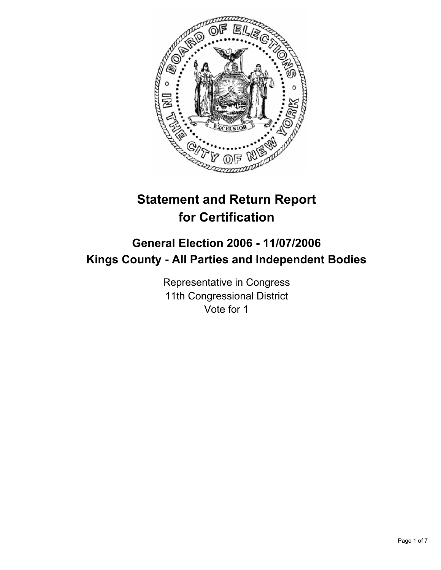

# **Statement and Return Report for Certification**

## **General Election 2006 - 11/07/2006 Kings County - All Parties and Independent Bodies**

Representative in Congress 11th Congressional District Vote for 1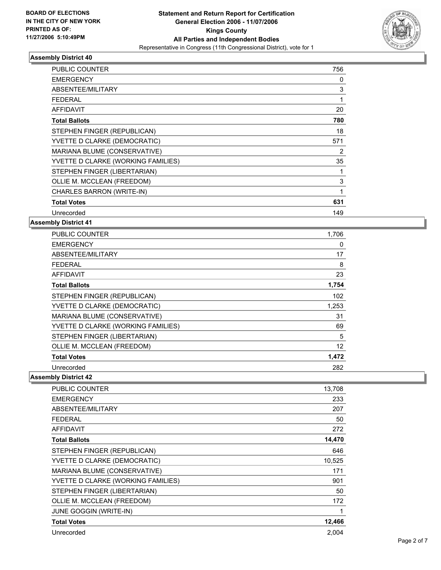

| <b>PUBLIC COUNTER</b>              | 756 |
|------------------------------------|-----|
| <b>EMERGENCY</b>                   | 0   |
| ABSENTEE/MILITARY                  | 3   |
| <b>FEDERAL</b>                     |     |
| <b>AFFIDAVIT</b>                   | 20  |
| <b>Total Ballots</b>               | 780 |
| STEPHEN FINGER (REPUBLICAN)        | 18  |
| YVETTE D CLARKE (DEMOCRATIC)       | 571 |
| MARIANA BLUME (CONSERVATIVE)       | 2   |
| YVETTE D CLARKE (WORKING FAMILIES) | 35  |
| STEPHEN FINGER (LIBERTARIAN)       |     |
| OLLIE M. MCCLEAN (FREEDOM)         | 3   |
| CHARLES BARRON (WRITE-IN)          |     |
| <b>Total Votes</b>                 | 631 |
| Unrecorded                         | 149 |

#### **Assembly District 41**

| <b>PUBLIC COUNTER</b>              | 1,706 |
|------------------------------------|-------|
| <b>EMERGENCY</b>                   | 0     |
| ABSENTEE/MILITARY                  | 17    |
| <b>FEDERAL</b>                     | 8     |
| <b>AFFIDAVIT</b>                   | 23    |
| <b>Total Ballots</b>               | 1,754 |
| STEPHEN FINGER (REPUBLICAN)        | 102   |
| YVETTE D CLARKE (DEMOCRATIC)       | 1,253 |
| MARIANA BLUME (CONSERVATIVE)       | 31    |
| YVETTE D CLARKE (WORKING FAMILIES) | 69    |
| STEPHEN FINGER (LIBERTARIAN)       | 5     |
| OLLIE M. MCCLEAN (FREEDOM)         | 12    |
| <b>Total Votes</b>                 | 1,472 |
| Unrecorded                         | 282   |

| PUBLIC COUNTER                     | 13,708 |
|------------------------------------|--------|
| <b>EMERGENCY</b>                   | 233    |
| ABSENTEE/MILITARY                  | 207    |
| <b>FEDERAL</b>                     | 50     |
| <b>AFFIDAVIT</b>                   | 272    |
| <b>Total Ballots</b>               | 14,470 |
| STEPHEN FINGER (REPUBLICAN)        | 646    |
| YVETTE D CLARKE (DEMOCRATIC)       | 10,525 |
| MARIANA BLUME (CONSERVATIVE)       | 171    |
| YVETTE D CLARKE (WORKING FAMILIES) | 901    |
| STEPHEN FINGER (LIBERTARIAN)       | 50     |
| OLLIE M. MCCLEAN (FREEDOM)         | 172    |
| JUNE GOGGIN (WRITE-IN)             |        |
| <b>Total Votes</b>                 | 12,466 |
| Unrecorded                         | 2,004  |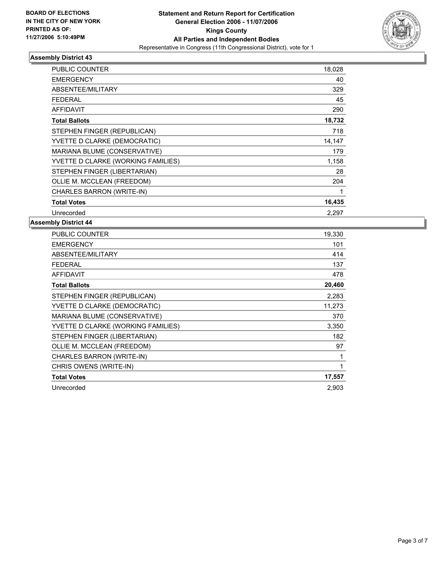

| PUBLIC COUNTER                     | 18,028 |  |
|------------------------------------|--------|--|
| <b>EMERGENCY</b>                   | 40     |  |
| ABSENTEE/MILITARY                  | 329    |  |
| <b>FEDERAL</b>                     | 45     |  |
| <b>AFFIDAVIT</b>                   | 290    |  |
| <b>Total Ballots</b>               | 18,732 |  |
| STEPHEN FINGER (REPUBLICAN)        | 718    |  |
| YVETTE D CLARKE (DEMOCRATIC)       | 14,147 |  |
| MARIANA BLUME (CONSERVATIVE)       | 179    |  |
| YVETTE D CLARKE (WORKING FAMILIES) | 1,158  |  |
| STEPHEN FINGER (LIBERTARIAN)       | 28     |  |
| OLLIE M. MCCLEAN (FREEDOM)         | 204    |  |
| CHARLES BARRON (WRITE-IN)          |        |  |
| <b>Total Votes</b>                 | 16,435 |  |
| Unrecorded                         | 2.297  |  |

| 19,330 |
|--------|
| 101    |
| 414    |
| 137    |
| 478    |
| 20,460 |
| 2,283  |
| 11,273 |
| 370    |
| 3,350  |
| 182    |
| 97     |
|        |
|        |
| 17,557 |
| 2,903  |
|        |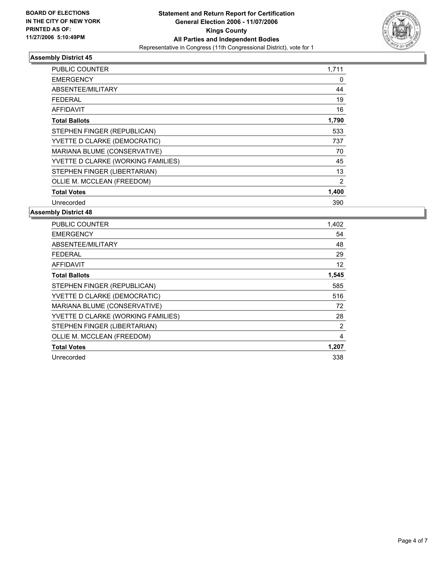

| <b>PUBLIC COUNTER</b>              | 1,711 |
|------------------------------------|-------|
| <b>EMERGENCY</b>                   | 0     |
| ABSENTEE/MILITARY                  | 44    |
| <b>FEDERAL</b>                     | 19    |
| <b>AFFIDAVIT</b>                   | 16    |
| <b>Total Ballots</b>               | 1,790 |
| STEPHEN FINGER (REPUBLICAN)        | 533   |
| YVETTE D CLARKE (DEMOCRATIC)       | 737   |
| MARIANA BLUME (CONSERVATIVE)       | 70    |
| YVETTE D CLARKE (WORKING FAMILIES) | 45    |
| STEPHEN FINGER (LIBERTARIAN)       | 13    |
| OLLIE M. MCCLEAN (FREEDOM)         | 2     |
| <b>Total Votes</b>                 | 1,400 |
| Unrecorded                         | 390   |

| <b>PUBLIC COUNTER</b>              | 1,402             |
|------------------------------------|-------------------|
| <b>EMERGENCY</b>                   | 54                |
| ABSENTEE/MILITARY                  | 48                |
| <b>FEDERAL</b>                     | 29                |
| <b>AFFIDAVIT</b>                   | $12 \overline{ }$ |
| <b>Total Ballots</b>               | 1,545             |
| STEPHEN FINGER (REPUBLICAN)        | 585               |
| YVETTE D CLARKE (DEMOCRATIC)       | 516               |
| MARIANA BLUME (CONSERVATIVE)       | 72                |
| YVETTE D CLARKE (WORKING FAMILIES) | 28                |
| STEPHEN FINGER (LIBERTARIAN)       | 2                 |
| OLLIE M. MCCLEAN (FREEDOM)         | 4                 |
| <b>Total Votes</b>                 | 1,207             |
| Unrecorded                         | 338               |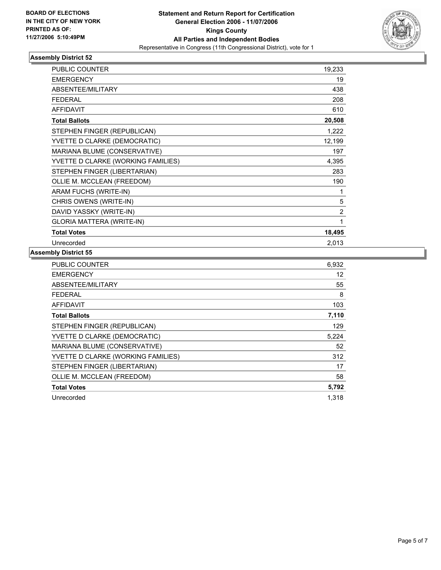

| <b>PUBLIC COUNTER</b>              | 19,233         |
|------------------------------------|----------------|
| <b>EMERGENCY</b>                   | 19             |
| <b>ABSENTEE/MILITARY</b>           | 438            |
| <b>FEDERAL</b>                     | 208            |
| <b>AFFIDAVIT</b>                   | 610            |
| <b>Total Ballots</b>               | 20,508         |
| STEPHEN FINGER (REPUBLICAN)        | 1,222          |
| YVETTE D CLARKE (DEMOCRATIC)       | 12,199         |
| MARIANA BLUME (CONSERVATIVE)       | 197            |
| YVETTE D CLARKE (WORKING FAMILIES) | 4,395          |
| STEPHEN FINGER (LIBERTARIAN)       | 283            |
| OLLIE M. MCCLEAN (FREEDOM)         | 190            |
| ARAM FUCHS (WRITE-IN)              | 1              |
| CHRIS OWENS (WRITE-IN)             | 5              |
| DAVID YASSKY (WRITE-IN)            | $\overline{2}$ |
| <b>GLORIA MATTERA (WRITE-IN)</b>   |                |
| <b>Total Votes</b>                 | 18,495         |
| Unrecorded                         | 2,013          |

| <b>PUBLIC COUNTER</b>              | 6,932 |
|------------------------------------|-------|
| <b>EMERGENCY</b>                   | 12    |
| ABSENTEE/MILITARY                  | 55    |
| <b>FEDERAL</b>                     | 8     |
| <b>AFFIDAVIT</b>                   | 103   |
| <b>Total Ballots</b>               | 7,110 |
| STEPHEN FINGER (REPUBLICAN)        | 129   |
| YVETTE D CLARKE (DEMOCRATIC)       | 5,224 |
| MARIANA BLUME (CONSERVATIVE)       | 52    |
| YVETTE D CLARKE (WORKING FAMILIES) | 312   |
| STEPHEN FINGER (LIBERTARIAN)       | 17    |
| OLLIE M. MCCLEAN (FREEDOM)         | 58    |
| <b>Total Votes</b>                 | 5,792 |
| Unrecorded                         | 1,318 |
|                                    |       |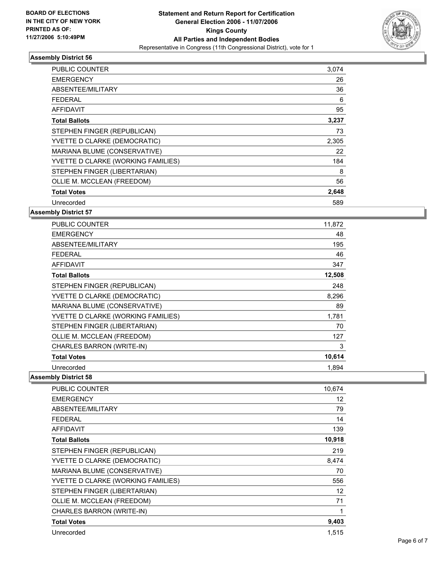

| <b>PUBLIC COUNTER</b>              | 3,074 |  |
|------------------------------------|-------|--|
| <b>EMERGENCY</b>                   | 26    |  |
| ABSENTEE/MILITARY                  | 36    |  |
| FEDERAL                            | 6     |  |
| <b>AFFIDAVIT</b>                   | 95    |  |
| <b>Total Ballots</b>               | 3,237 |  |
| STEPHEN FINGER (REPUBLICAN)        | 73    |  |
| YVETTE D CLARKE (DEMOCRATIC)       | 2,305 |  |
| MARIANA BLUME (CONSERVATIVE)       | 22    |  |
| YVETTE D CLARKE (WORKING FAMILIES) | 184   |  |
| STEPHEN FINGER (LIBERTARIAN)       | 8     |  |
| OLLIE M. MCCLEAN (FREEDOM)         | 56    |  |
| <b>Total Votes</b>                 | 2,648 |  |
| Unrecorded                         | 589   |  |

**Assembly District 57**

| <b>PUBLIC COUNTER</b>              | 11,872 |
|------------------------------------|--------|
| <b>EMERGENCY</b>                   | 48     |
| ABSENTEE/MILITARY                  | 195    |
| <b>FEDERAL</b>                     | 46     |
| <b>AFFIDAVIT</b>                   | 347    |
| <b>Total Ballots</b>               | 12,508 |
| STEPHEN FINGER (REPUBLICAN)        | 248    |
| YVETTE D CLARKE (DEMOCRATIC)       | 8,296  |
| MARIANA BLUME (CONSERVATIVE)       | 89     |
| YVETTE D CLARKE (WORKING FAMILIES) | 1,781  |
| STEPHEN FINGER (LIBERTARIAN)       | 70     |
| OLLIE M. MCCLEAN (FREEDOM)         | 127    |
| CHARLES BARRON (WRITE-IN)          | 3      |
| <b>Total Votes</b>                 | 10,614 |
| Unrecorded                         | 1,894  |

| PUBLIC COUNTER                     | 10,674 |
|------------------------------------|--------|
| <b>EMERGENCY</b>                   | 12     |
| ABSENTEE/MILITARY                  | 79     |
| <b>FEDERAL</b>                     | 14     |
| <b>AFFIDAVIT</b>                   | 139    |
| <b>Total Ballots</b>               | 10,918 |
| STEPHEN FINGER (REPUBLICAN)        | 219    |
| YVETTE D CLARKE (DEMOCRATIC)       | 8,474  |
| MARIANA BLUME (CONSERVATIVE)       | 70     |
| YVETTE D CLARKE (WORKING FAMILIES) | 556    |
| STEPHEN FINGER (LIBERTARIAN)       | 12     |
| OLLIE M. MCCLEAN (FREEDOM)         | 71     |
| CHARLES BARRON (WRITE-IN)          |        |
| <b>Total Votes</b>                 | 9,403  |
| Unrecorded                         | 1,515  |